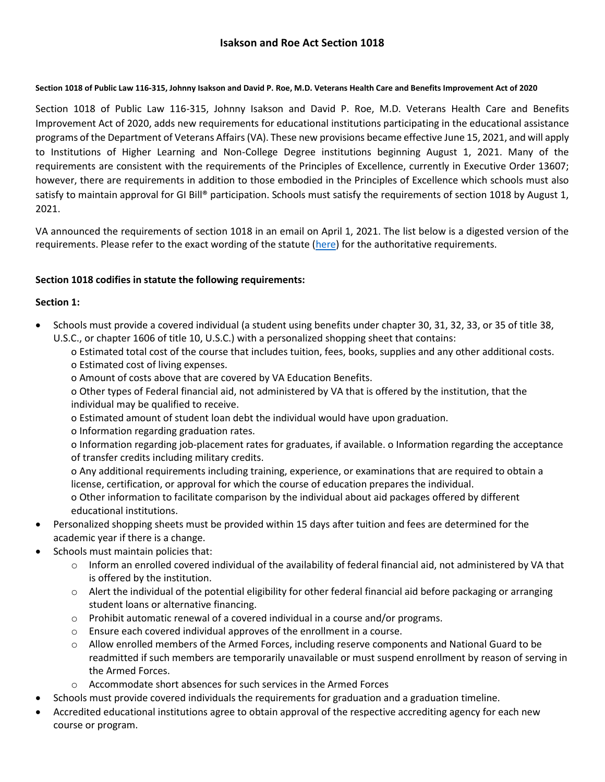# **Isakson and Roe Act Section 1018**

#### **Section 1018 of Public Law 116-315, Johnny Isakson and David P. Roe, M.D. Veterans Health Care and Benefits Improvement Act of 2020**

Section 1018 of Public Law 116-315, Johnny Isakson and David P. Roe, M.D. Veterans Health Care and Benefits Improvement Act of 2020, adds new requirements for educational institutions participating in the educational assistance programs of the Department of Veterans Affairs (VA). These new provisions became effective June 15, 2021, and will apply to Institutions of Higher Learning and Non-College Degree institutions beginning August 1, 2021. Many of the requirements are consistent with the requirements of the Principles of Excellence, currently in Executive Order 13607; however, there are requirements in addition to those embodied in the Principles of Excellence which schools must also satisfy to maintain approval for GI Bill® participation. Schools must satisfy the requirements of section 1018 by August 1, 2021.

VA announced the requirements of section 1018 in an email on April 1, 2021. The list below is a digested version of the requirements. Please refer to the exact wording of the statute [\(here\)](https://www.congress.gov/116/plaws/publ315/PLAW-116publ315.pdf) for the authoritative requirements.

## **Section 1018 codifies in statute the following requirements:**

## **Section 1:**

- Schools must provide a covered individual (a student using benefits under chapter 30, 31, 32, 33, or 35 of title 38, U.S.C., or chapter 1606 of title 10, U.S.C.) with a personalized shopping sheet that contains:
	- o Estimated total cost of the course that includes tuition, fees, books, supplies and any other additional costs. o Estimated cost of living expenses.
	- o Amount of costs above that are covered by VA Education Benefits.

o Other types of Federal financial aid, not administered by VA that is offered by the institution, that the individual may be qualified to receive.

- o Estimated amount of student loan debt the individual would have upon graduation.
- o Information regarding graduation rates.

o Information regarding job-placement rates for graduates, if available. o Information regarding the acceptance of transfer credits including military credits.

o Any additional requirements including training, experience, or examinations that are required to obtain a license, certification, or approval for which the course of education prepares the individual.

o Other information to facilitate comparison by the individual about aid packages offered by different educational institutions.

- Personalized shopping sheets must be provided within 15 days after tuition and fees are determined for the academic year if there is a change.
- Schools must maintain policies that:
	- $\circ$  Inform an enrolled covered individual of the availability of federal financial aid, not administered by VA that is offered by the institution.
	- o Alert the individual of the potential eligibility for other federal financial aid before packaging or arranging student loans or alternative financing.
	- $\circ$  Prohibit automatic renewal of a covered individual in a course and/or programs.
	- o Ensure each covered individual approves of the enrollment in a course.
	- $\circ$  Allow enrolled members of the Armed Forces, including reserve components and National Guard to be readmitted if such members are temporarily unavailable or must suspend enrollment by reason of serving in the Armed Forces.
	- o Accommodate short absences for such services in the Armed Forces
- Schools must provide covered individuals the requirements for graduation and a graduation timeline.
- Accredited educational institutions agree to obtain approval of the respective accrediting agency for each new course or program.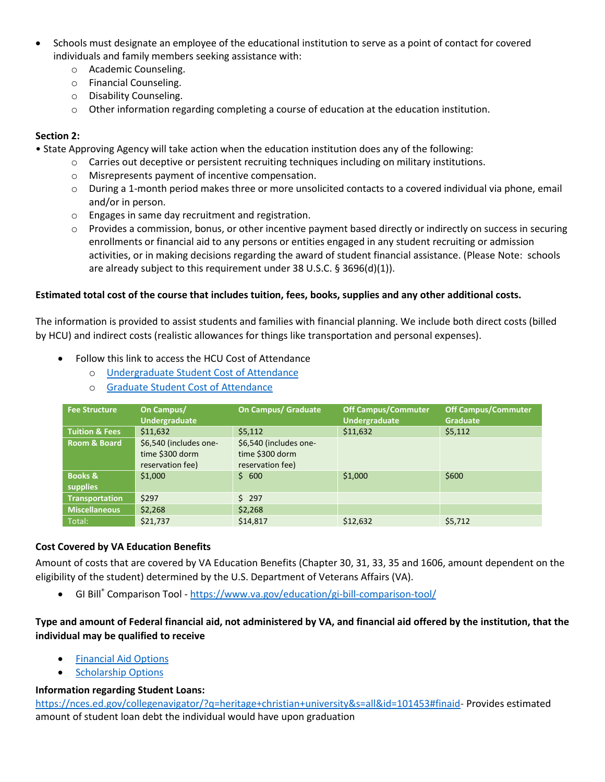- Schools must designate an employee of the educational institution to serve as a point of contact for covered individuals and family members seeking assistance with:
	- o Academic Counseling.
	- o Financial Counseling.
	- o Disability Counseling.
	- $\circ$  Other information regarding completing a course of education at the education institution.

### **Section 2:**

- State Approving Agency will take action when the education institution does any of the following:
	- o Carries out deceptive or persistent recruiting techniques including on military institutions.
	- o Misrepresents payment of incentive compensation.
	- o During a 1-month period makes three or more unsolicited contacts to a covered individual via phone, email and/or in person.
	- o Engages in same day recruitment and registration.
	- $\circ$  Provides a commission, bonus, or other incentive payment based directly or indirectly on success in securing enrollments or financial aid to any persons or entities engaged in any student recruiting or admission activities, or in making decisions regarding the award of student financial assistance. (Please Note: schools are already subject to this requirement under 38 U.S.C. § 3696(d)(1)).

#### **Estimated total cost of the course that includes tuition, fees, books, supplies and any other additional costs.**

The information is provided to assist students and families with financial planning. We include both direct costs (billed by HCU) and indirect costs (realistic allowances for things like transportation and personal expenses).

- Follow this link to access the HCU Cost of Attendance
	- o [Undergraduate Student Cost of Attendance](https://www.hcu.edu/wp-content/uploads/2022/06/Budget-Academic-Year-2023-Undergraduate.pdf)
	- o [Graduate Student Cost of Attendance](https://www.hcu.edu/wp-content/uploads/2022/06/Budget-Academic-Year-2023-Graduate.pdf)

| <b>Fee Structure</b>           | On Campus/<br><b>Undergraduate</b>                            | <b>On Campus/ Graduate</b>                                    | <b>Off Campus/Commuter</b><br><b>Undergraduate</b> | Off Campus/Commuter<br><b>Graduate</b> |
|--------------------------------|---------------------------------------------------------------|---------------------------------------------------------------|----------------------------------------------------|----------------------------------------|
| <b>Tuition &amp; Fees</b>      | \$11,632                                                      | \$5,112                                                       | \$11,632                                           | \$5,112                                |
| <b>Room &amp; Board</b>        | \$6,540 (includes one-<br>time \$300 dorm<br>reservation fee) | \$6,540 (includes one-<br>time \$300 dorm<br>reservation fee) |                                                    |                                        |
| <b>Books &amp;</b><br>supplies | \$1,000                                                       | \$600                                                         | \$1,000                                            | \$600                                  |
| <b>Transportation</b>          | \$297                                                         | 5297                                                          |                                                    |                                        |
| <b>Miscellaneous</b>           | \$2,268                                                       | \$2,268                                                       |                                                    |                                        |
| Total:                         | \$21,737                                                      | \$14.817                                                      | \$12,632                                           | \$5,712                                |

#### **Cost Covered by VA Education Benefits**

Amount of costs that are covered by VA Education Benefits (Chapter 30, 31, 33, 35 and 1606, amount dependent on the eligibility of the student) determined by the U.S. Department of Veterans Affairs (VA).

• GI Bill® Comparison Tool - <https://www.va.gov/education/gi-bill-comparison-tool/>

## **Type and amount of Federal financial aid, not administered by VA, and financial aid offered by the institution, that the individual may be qualified to receive**

- [Financial Aid Options](https://www.hcu.edu/admissions/financial-aid/)
- [Scholarship Options](https://www.hcu.edu/admissions/scholarships/)

#### **Information regarding Student Loans:**

[https://nces.ed.gov/collegenavigator/?q=heritage+christian+university&s=all&id=101453#finaid-](https://nces.ed.gov/collegenavigator/?q=heritage+christian+university&s=all&id=101453#finaid) Provides estimated amount of student loan debt the individual would have upon graduation